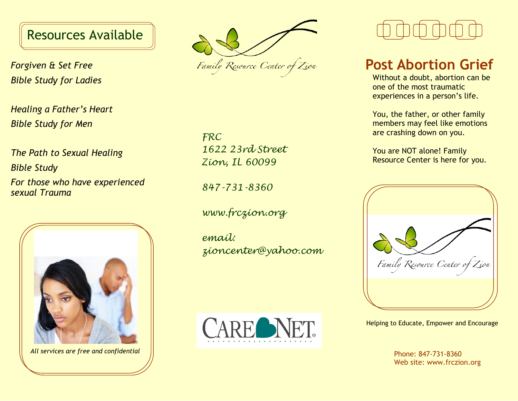### Resources Available

*Forgiven & Set Free Bible Study for Ladies*

*Healing a Father's Heart Bible Study for Men*

*The Path to Sexual Healing Bible Study For those who have experienced sexual Trauma*



*All services are free and confidential* Phone: 847-731-8360

Family Resource Center of Zion

*FRC 1622 23rd Street Zion, IL 60099*

*847-731-8360*

*www.frczion.org*

*email: zioncenter@yahoo.com*



### **Post Abortion Grief**

Without a doubt, abortion can be one of the most traumatic experiences in a person's life.

You, the father, or other family members may feel like emotions are crashing down on you.

You are NOT alone! Family Resource Center is here for you.



Helping to Educate, Empower and Encourage

Web site: www.frczion.org